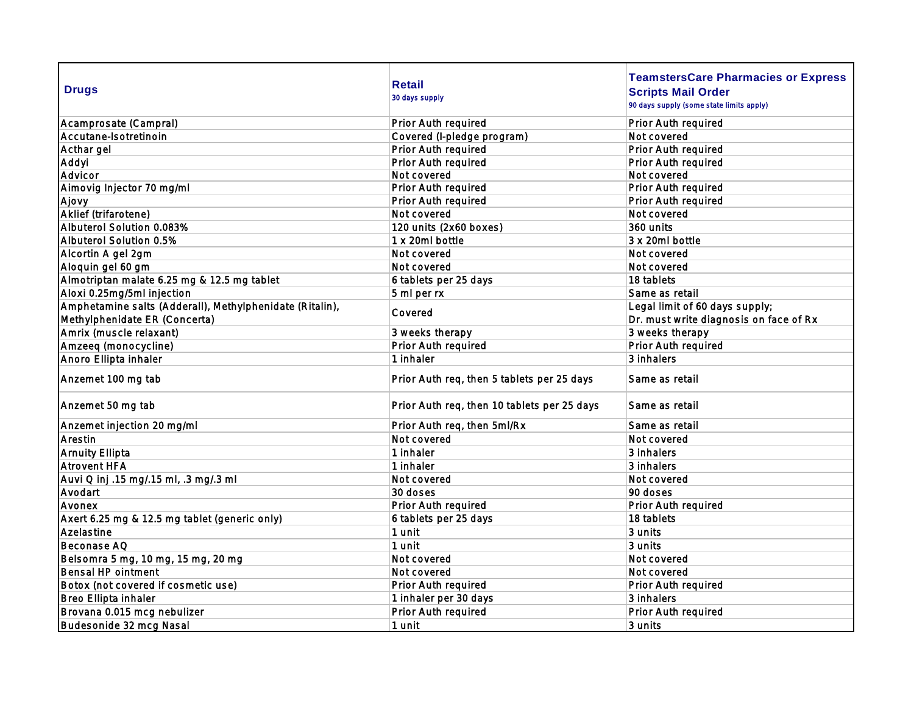| <b>Drugs</b>                                             | <b>Retail</b><br>30 days supply             | <b>TeamstersCare Pharmacies or Express</b><br><b>Scripts Mail Order</b><br>90 days supply (some state limits apply) |
|----------------------------------------------------------|---------------------------------------------|---------------------------------------------------------------------------------------------------------------------|
| Acamprosate (Campral)                                    | Prior Auth required                         | Prior Auth required                                                                                                 |
| Accutane-Isotretinoin                                    | Covered (I-pledge program)                  | Not covered                                                                                                         |
| Acthar gel                                               | Prior Auth required                         | Prior Auth required                                                                                                 |
| Addyi                                                    | Prior Auth required                         | Prior Auth required                                                                                                 |
| Advicor                                                  | Not covered                                 | Not covered                                                                                                         |
| Almovig Injector 70 mg/ml                                | Prior Auth required                         | Prior Auth required                                                                                                 |
| Ajovy                                                    | Prior Auth required                         | Prior Auth required                                                                                                 |
| Aklief (trifarotene)                                     | Not covered                                 | Not covered                                                                                                         |
| Albuterol Solution 0.083%                                | 120 units (2x60 boxes)                      | 360 units                                                                                                           |
| Albuterol Solution 0.5%                                  | 1 x 20ml bottle                             | 3 x 20ml bottle                                                                                                     |
| Alcortin A gel 2gm                                       | Not covered                                 | Not covered                                                                                                         |
| Aloquin gel 60 gm                                        | Not covered                                 | Not covered                                                                                                         |
| Almotriptan malate 6.25 mg & 12.5 mg tablet              | 6 tablets per 25 days                       | 18 tablets                                                                                                          |
| Aloxi 0.25mg/5ml injection                               | 5 ml per rx                                 | Same as retail                                                                                                      |
| Amphetamine salts (Adderall), Methylphenidate (Ritalin), |                                             | Legal limit of 60 days supply;                                                                                      |
| Methylphenidate ER (Concerta)                            | Covered                                     | Dr. must write diagnosis on face of Rx                                                                              |
| Amrix (muscle relaxant)                                  | 3 weeks therapy                             | 3 weeks therapy                                                                                                     |
| Amzeeq (monocycline)                                     | Prior Auth required                         | Prior Auth required                                                                                                 |
| Anoro Ellipta inhaler                                    | 1 inhaler                                   | 3 inhalers                                                                                                          |
| Anzemet 100 mg tab                                       | Prior Auth req, then 5 tablets per 25 days  | Same as retail                                                                                                      |
| Anzemet 50 mg tab                                        | Prior Auth req, then 10 tablets per 25 days | Same as retail                                                                                                      |
| Anzemet injection 20 mg/ml                               | Prior Auth req, then 5ml/Rx                 | Same as retail                                                                                                      |
| Arestin                                                  | Not covered                                 | Not covered                                                                                                         |
| <b>Arnuity Ellipta</b>                                   | 1 inhaler                                   | 3 inhalers                                                                                                          |
| Atrovent HFA                                             | 1 inhaler                                   | 3 inhalers                                                                                                          |
| Auvi Q inj .15 mg/.15 ml, .3 mg/.3 ml                    | Not covered                                 | Not covered                                                                                                         |
| Avodart                                                  | 30 doses                                    | 90 doses                                                                                                            |
| Avonex                                                   | Prior Auth required                         | Prior Auth required                                                                                                 |
| Axert 6.25 mg & 12.5 mg tablet (generic only)            | 6 tablets per 25 days                       | 18 tablets                                                                                                          |
| Azelastine                                               | 1 unit                                      | 3 units                                                                                                             |
| Beconase AQ                                              | 1 unit                                      | 3 units                                                                                                             |
| Belsomra 5 mg, 10 mg, 15 mg, 20 mg                       | Not covered                                 | Not covered                                                                                                         |
| Bensal HP ointment                                       | Not covered                                 | Not covered                                                                                                         |
| Botox (not covered if cosmetic use)                      | Prior Auth required                         | Prior Auth required                                                                                                 |
| Breo Ellipta inhaler                                     | 1 inhaler per 30 days                       | 3 inhalers                                                                                                          |
| Brovana 0.015 mcg nebulizer                              | Prior Auth required                         | Prior Auth required                                                                                                 |
| Budesonide 32 mcg Nasal                                  | 1 unit                                      | 3 units                                                                                                             |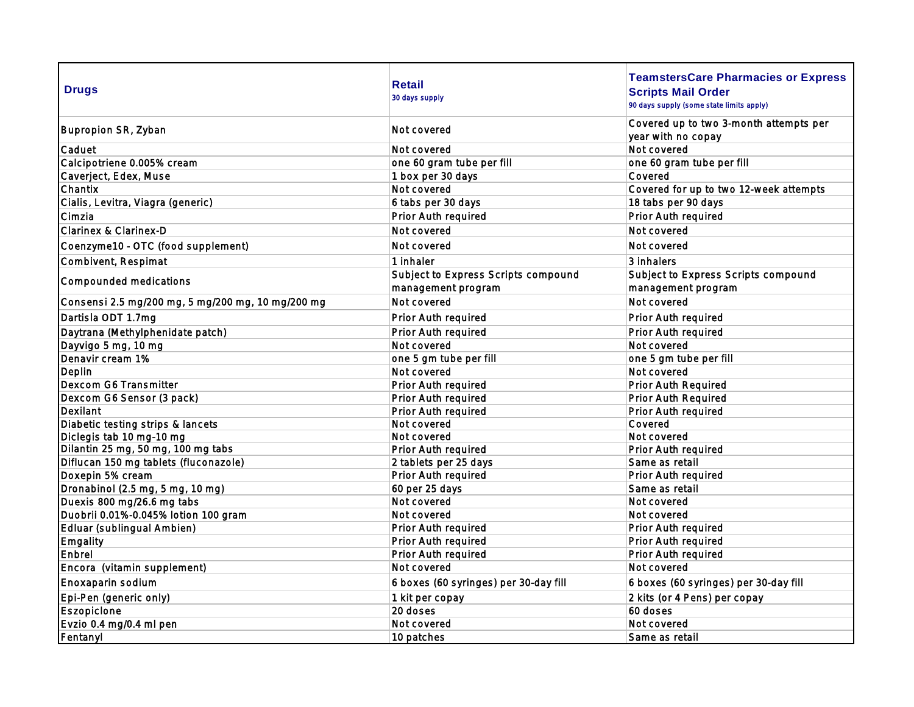| <b>Drugs</b>                                      | <b>Retail</b><br>30 days supply                           | <b>TeamstersCare Pharmacies or Express</b><br><b>Scripts Mail Order</b><br>90 days supply (some state limits apply) |
|---------------------------------------------------|-----------------------------------------------------------|---------------------------------------------------------------------------------------------------------------------|
| Bupropion SR, Zyban                               | Not covered                                               | Covered up to two 3-month attempts per<br>year with no copay                                                        |
| Caduet                                            | Not covered                                               | Not covered                                                                                                         |
| Calcipotriene 0.005% cream                        | one 60 gram tube per fill                                 | one 60 gram tube per fill                                                                                           |
| Caverject, Edex, Muse                             | 1 box per 30 days                                         | Covered                                                                                                             |
| Chantix                                           | Not covered                                               | Covered for up to two 12-week attempts                                                                              |
| Cialis, Levitra, Viagra (generic)                 | 6 tabs per 30 days                                        | 18 tabs per 90 days                                                                                                 |
| Cimzia                                            | Prior Auth required                                       | Prior Auth required                                                                                                 |
| Clarinex & Clarinex-D                             | Not covered                                               | Not covered                                                                                                         |
| Coenzyme10 - OTC (food supplement)                | Not covered                                               | Not covered                                                                                                         |
| Combivent, Respimat                               | 1 inhaler                                                 | 3 inhalers                                                                                                          |
| Compounded medications                            | Subject to Express Scripts compound<br>management program | Subject to Express Scripts compound<br>management program                                                           |
| Consensi 2.5 mg/200 mg, 5 mg/200 mg, 10 mg/200 mg | Not covered                                               | Not covered                                                                                                         |
| Dartisla ODT 1.7mg                                | Prior Auth required                                       | Prior Auth required                                                                                                 |
| Daytrana (Methylphenidate patch)                  | Prior Auth required                                       | Prior Auth required                                                                                                 |
| Dayvigo 5 mg, 10 mg                               | Not covered                                               | Not covered                                                                                                         |
| Denavir cream 1%                                  | one 5 gm tube per fill                                    | one 5 gm tube per fill                                                                                              |
| Deplin                                            | Not covered                                               | Not covered                                                                                                         |
| Dexcom G6 Transmitter                             | Prior Auth required                                       | Prior Auth Required                                                                                                 |
| Dexcom G6 Sensor (3 pack)                         | Prior Auth required                                       | Prior Auth Required                                                                                                 |
| Dexilant                                          | Prior Auth required                                       | Prior Auth required                                                                                                 |
| Diabetic testing strips & lancets                 | Not covered                                               | Covered                                                                                                             |
| Diclegis tab 10 mg-10 mg                          | Not covered                                               | Not covered                                                                                                         |
| Dilantin 25 mg, 50 mg, 100 mg tabs                | Prior Auth required                                       | Prior Auth required                                                                                                 |
| Diflucan 150 mg tablets (fluconazole)             | 2 tablets per 25 days                                     | Same as retail                                                                                                      |
| Doxepin 5% cream                                  | Prior Auth required                                       | Prior Auth required                                                                                                 |
| Dronabinol (2.5 mg, 5 mg, 10 mg)                  | 60 per 25 days                                            | Same as retail                                                                                                      |
| Duexis 800 mg/26.6 mg tabs                        | Not covered                                               | Not covered                                                                                                         |
| Duobrii 0.01%-0.045% lotion 100 gram              | Not covered                                               | Not covered                                                                                                         |
| Edluar (sublingual Ambien)                        | Prior Auth required                                       | Prior Auth required                                                                                                 |
| Emgality                                          | Prior Auth required                                       | Prior Auth required                                                                                                 |
| Enbrel                                            | Prior Auth required                                       | Prior Auth required                                                                                                 |
| Encora (vitamin supplement)                       | Not covered                                               | Not covered                                                                                                         |
| Enoxaparin sodium                                 | 6 boxes (60 syringes) per 30-day fill                     | 6 boxes (60 syringes) per 30-day fill                                                                               |
| Epi-Pen (generic only)                            | 1 kit per copay                                           | 2 kits (or 4 Pens) per copay                                                                                        |
| Eszopicione                                       | 20 doses                                                  | 60 doses                                                                                                            |
| Evzio 0.4 mg/0.4 ml pen                           | Not covered                                               | Not covered                                                                                                         |
| Fentanyl                                          | 10 patches                                                | Same as retail                                                                                                      |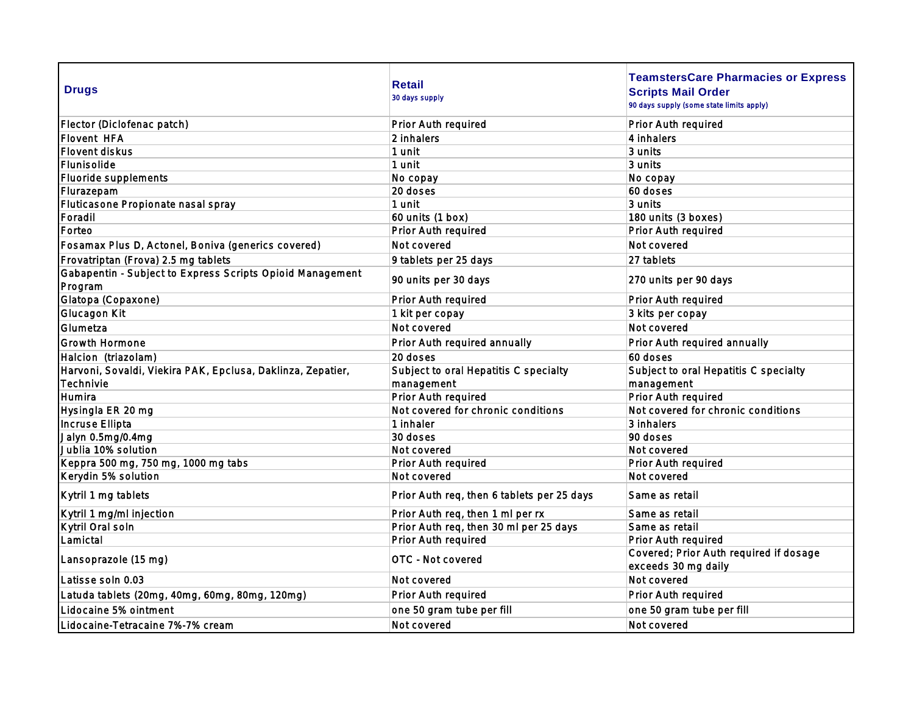| <b>Drugs</b>                                                         | <b>Retail</b><br>30 days supply            | <b>TeamstersCare Pharmacies or Express</b><br><b>Scripts Mail Order</b><br>90 days supply (some state limits apply) |
|----------------------------------------------------------------------|--------------------------------------------|---------------------------------------------------------------------------------------------------------------------|
| Flector (Diclofenac patch)                                           | Prior Auth required                        | Prior Auth required                                                                                                 |
| Flovent HFA                                                          | 2 inhalers                                 | 4 inhalers                                                                                                          |
| Flovent diskus                                                       | 1 unit                                     | 3 units                                                                                                             |
| Flunisolide                                                          | 1 unit                                     | 3 units                                                                                                             |
| Fluoride supplements                                                 | No copay                                   | No copay                                                                                                            |
| Flurazepam                                                           | 20 doses                                   | 60 doses                                                                                                            |
| Fluticasone Propionate nasal spray                                   | 1 unit                                     | 3 units                                                                                                             |
| Foradil                                                              | 60 units (1 box)                           | 180 units (3 boxes)                                                                                                 |
| Forteo                                                               | Prior Auth required                        | Prior Auth required                                                                                                 |
| Fosamax Plus D, Actonel, Boniva (generics covered)                   | Not covered                                | Not covered                                                                                                         |
| Frovatriptan (Frova) 2.5 mg tablets                                  | 9 tablets per 25 days                      | 27 tablets                                                                                                          |
| Gabapentin - Subject to Express Scripts Opioid Management<br>Program | 90 units per 30 days                       | 270 units per 90 days                                                                                               |
| Glatopa (Copaxone)                                                   | Prior Auth required                        | Prior Auth required                                                                                                 |
| Glucagon Kit                                                         | 1 kit per copay                            | 3 kits per copay                                                                                                    |
| Glumetza                                                             | Not covered                                | Not covered                                                                                                         |
| <b>Growth Hormone</b>                                                | Prior Auth required annually               | Prior Auth required annually                                                                                        |
| Halcion (triazolam)                                                  | 20 doses                                   | 60 doses                                                                                                            |
| Harvoni, Sovaldi, Viekira PAK, Epclusa, Daklinza, Zepatier,          | Subject to oral Hepatitis C specialty      | Subject to oral Hepatitis C specialty                                                                               |
| Technivie                                                            | management                                 | management                                                                                                          |
| Humira                                                               | Prior Auth required                        | Prior Auth required                                                                                                 |
| Hysingla ER 20 mg                                                    | Not covered for chronic conditions         | Not covered for chronic conditions                                                                                  |
| Incruse Ellipta                                                      | 1 inhaler                                  | 3 inhalers                                                                                                          |
| Jalyn 0.5mg/0.4mg                                                    | 30 doses                                   | 90 doses                                                                                                            |
| Jublia 10% solution                                                  | Not covered                                | Not covered                                                                                                         |
| Keppra 500 mg, 750 mg, 1000 mg tabs                                  | Prior Auth required                        | Prior Auth required                                                                                                 |
| Kerydin 5% solution                                                  | Not covered                                | Not covered                                                                                                         |
| Kytril 1 mg tablets                                                  | Prior Auth req, then 6 tablets per 25 days | Same as retail                                                                                                      |
| Kytril 1 mg/ml injection                                             | Prior Auth req, then 1 ml per rx           | Same as retail                                                                                                      |
| Kytril Oral soln                                                     | Prior Auth req, then 30 ml per 25 days     | Same as retail                                                                                                      |
| Lamictal                                                             | Prior Auth required                        | Prior Auth required                                                                                                 |
| Lansoprazole (15 mg)                                                 | OTC - Not covered                          | Covered; Prior Auth required if dosage<br>exceeds 30 mg daily                                                       |
| Latisse soln 0.03                                                    | Not covered                                | Not covered                                                                                                         |
| Latuda tablets (20mg, 40mg, 60mg, 80mg, 120mg)                       | Prior Auth required                        | Prior Auth required                                                                                                 |
| Lidocaine 5% ointment                                                | one 50 gram tube per fill                  | one 50 gram tube per fill                                                                                           |
| Lidocaine-Tetracaine 7%-7% cream                                     | Not covered                                | Not covered                                                                                                         |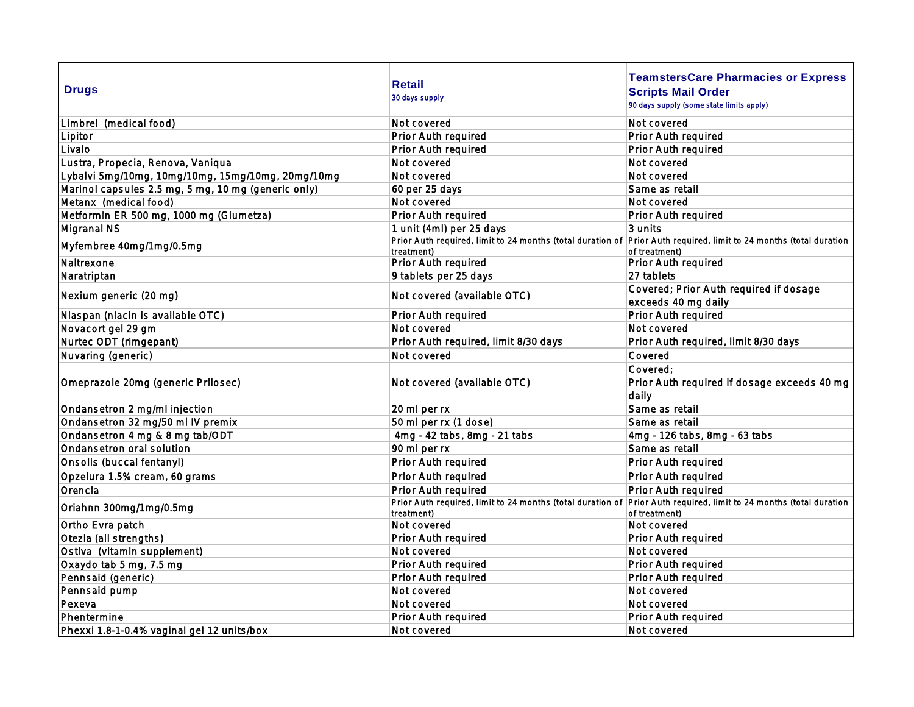| <b>Drugs</b>                                        | <b>Retail</b><br>30 days supply                                                                                    | <b>TeamstersCare Pharmacies or Express</b><br><b>Scripts Mail Order</b><br>90 days supply (some state limits apply) |
|-----------------------------------------------------|--------------------------------------------------------------------------------------------------------------------|---------------------------------------------------------------------------------------------------------------------|
| Limbrel (medical food)                              | Not covered                                                                                                        | Not covered                                                                                                         |
| Lipitor                                             | Prior Auth required                                                                                                | Prior Auth required                                                                                                 |
| Livalo                                              | Prior Auth required                                                                                                | Prior Auth required                                                                                                 |
| Lustra, Propecia, Renova, Vaniqua                   | Not covered                                                                                                        | Not covered                                                                                                         |
| Lybalvi 5mg/10mg, 10mg/10mg, 15mg/10mg, 20mg/10mg   | Not covered                                                                                                        | Not covered                                                                                                         |
| Marinol capsules 2.5 mg, 5 mg, 10 mg (generic only) | 60 per 25 days                                                                                                     | Same as retail                                                                                                      |
| Metanx (medical food)                               | Not covered                                                                                                        | Not covered                                                                                                         |
| Metformin ER 500 mg, 1000 mg (Glumetza)             | Prior Auth required                                                                                                | Prior Auth required                                                                                                 |
| Migranal NS                                         | 1 unit (4ml) per 25 days                                                                                           | 3 units                                                                                                             |
| Myfembree 40mg/1mg/0.5mg                            | Prior Auth required, limit to 24 months (total duration of Prior Auth required, limit to 24 months (total duration |                                                                                                                     |
|                                                     | treatment)                                                                                                         | of treatment)                                                                                                       |
| Naltrexone                                          | Prior Auth required                                                                                                | Prior Auth required                                                                                                 |
| Naratriptan                                         | 9 tablets per 25 days                                                                                              | 27 tablets                                                                                                          |
| Nexium generic (20 mg)                              | Not covered (available OTC)                                                                                        | Covered; Prior Auth required if dosage<br>exceeds 40 mg daily                                                       |
| Niaspan (niacin is available OTC)                   | Prior Auth required                                                                                                | Prior Auth required                                                                                                 |
| Novacort gel 29 gm                                  | Not covered                                                                                                        | Not covered                                                                                                         |
| Nurtec ODT (rimgepant)                              | Prior Auth required, limit 8/30 days                                                                               | Prior Auth required, limit 8/30 days                                                                                |
| Nuvaring (generic)                                  | Not covered                                                                                                        | Covered                                                                                                             |
| Omeprazole 20mg (generic Prilosec)                  | Not covered (available OTC)                                                                                        | Covered:<br>Prior Auth required if dosage exceeds 40 mg<br>daily                                                    |
| Ondansetron 2 mg/ml injection                       | 20 ml per rx                                                                                                       | Same as retail                                                                                                      |
| Ondansetron 32 mg/50 ml IV premix                   | 50 ml per rx (1 dose)                                                                                              | Same as retail                                                                                                      |
| Ondansetron 4 mg & 8 mg tab/ODT                     | 4mg - 42 tabs, 8mg - 21 tabs                                                                                       | 4mg - 126 tabs, 8mg - 63 tabs                                                                                       |
| Ondansetron oral solution                           | 90 ml per rx                                                                                                       | Same as retail                                                                                                      |
| Onsolis (buccal fentanyl)                           | Prior Auth required                                                                                                | Prior Auth required                                                                                                 |
| Opzelura 1.5% cream, 60 grams                       | Prior Auth required                                                                                                | Prior Auth required                                                                                                 |
| Orencia                                             | Prior Auth required                                                                                                | Prior Auth required                                                                                                 |
| Oriahnn 300mg/1mg/0.5mg                             | Prior Auth required, limit to 24 months (total duration of<br>treatment)                                           | Prior Auth required, limit to 24 months (total duration<br>of treatment)                                            |
| Ortho Evra patch                                    | Not covered                                                                                                        | Not covered                                                                                                         |
| Otezla (all strengths)                              | Prior Auth required                                                                                                | Prior Auth required                                                                                                 |
| Ostiva (vitamin supplement)                         | Not covered                                                                                                        | Not covered                                                                                                         |
| Oxaydo tab 5 mg, 7.5 mg                             | Prior Auth required                                                                                                | Prior Auth required                                                                                                 |
| Pennsaid (generic)                                  | Prior Auth required                                                                                                | Prior Auth required                                                                                                 |
| Pennsaid pump                                       | Not covered                                                                                                        | Not covered                                                                                                         |
| Pexeva                                              | Not covered                                                                                                        | Not covered                                                                                                         |
| Phentermine                                         | Prior Auth required                                                                                                | Prior Auth required                                                                                                 |
| Phexxi 1.8-1-0.4% vaginal gel 12 units/box          | Not covered                                                                                                        | Not covered                                                                                                         |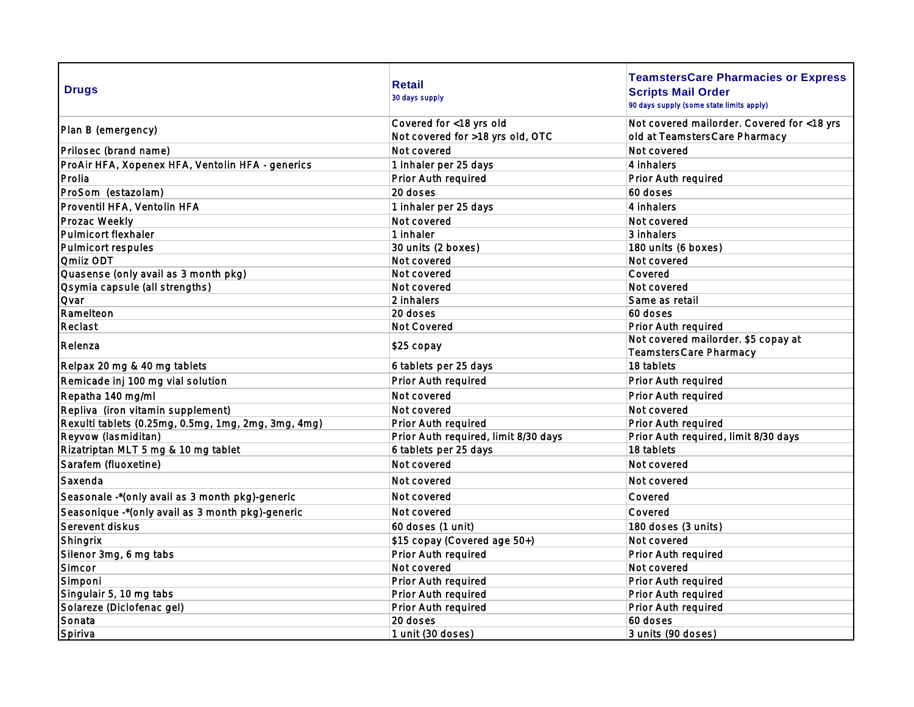| <b>Drugs</b>                                        | <b>Retail</b><br>30 days supply      | <b>TeamstersCare Pharmacies or Express</b><br><b>Scripts Mail Order</b><br>90 days supply (some state limits apply) |
|-----------------------------------------------------|--------------------------------------|---------------------------------------------------------------------------------------------------------------------|
| Plan B (emergency)                                  | Covered for <18 yrs old              | Not covered mailorder. Covered for <18 yrs                                                                          |
|                                                     | Not covered for >18 yrs old, OTC     | old at TeamstersCare Pharmacy                                                                                       |
| Prilosec (brand name)                               | Not covered                          | Not covered                                                                                                         |
| ProAir HFA, Xopenex HFA, Ventolin HFA - generics    | 1 inhaler per 25 days                | 4 inhalers                                                                                                          |
| Prolia                                              | Prior Auth required                  | Prior Auth required                                                                                                 |
| ProSom (estazolam)                                  | 20 doses                             | 60 doses                                                                                                            |
| Proventil HFA, Ventolin HFA                         | 1 inhaler per 25 days                | 4 inhalers                                                                                                          |
| Prozac Weekly                                       | Not covered                          | Not covered                                                                                                         |
| Pulmicort flexhaler                                 | 1 inhaler                            | 3 inhalers                                                                                                          |
| Pulmicort respules                                  | 30 units (2 boxes)                   | 180 units (6 boxes)                                                                                                 |
| <b>Qmilz ODT</b>                                    | Not covered                          | Not covered                                                                                                         |
| Quasense (only avail as 3 month pkg)                | Not covered                          | Covered                                                                                                             |
| Osymia capsule (all strengths)                      | Not covered                          | Not covered                                                                                                         |
| <b>Qvar</b>                                         | 2 inhalers                           | Same as retail                                                                                                      |
| Ramelteon                                           | 20 doses                             | 60 doses                                                                                                            |
| Reclast                                             | Not Covered                          | Prior Auth required                                                                                                 |
| Relenza                                             | \$25 copay                           | Not covered mailorder. \$5 copay at<br>TeamstersCare Pharmacy                                                       |
| Relpax 20 mg & 40 mg tablets                        | 6 tablets per 25 days                | 18 tablets                                                                                                          |
| Remicade inj 100 mg vial solution                   | Prior Auth required                  | Prior Auth required                                                                                                 |
| Repatha 140 mg/ml                                   | Not covered                          | Prior Auth required                                                                                                 |
| Repliva (iron vitamin supplement)                   | Not covered                          | Not covered                                                                                                         |
| Rexulti tablets (0.25mg, 0.5mg, 1mg, 2mg, 3mg, 4mg) | Prior Auth required                  | Prior Auth required                                                                                                 |
| Reyvow (lasmiditan)                                 | Prior Auth required, limit 8/30 days | Prior Auth required, limit 8/30 days                                                                                |
| Rizatriptan MLT 5 mg & 10 mg tablet                 | 6 tablets per 25 days                | 18 tablets                                                                                                          |
| Sarafem (fluoxetine)                                | Not covered                          | Not covered                                                                                                         |
| Saxenda                                             | Not covered                          | Not covered                                                                                                         |
| Seasonale -* (only avail as 3 month pkg)-generic    | Not covered                          | Covered                                                                                                             |
| Seasonique -* (only avail as 3 month pkg)-generic   | Not covered                          | Covered                                                                                                             |
| Serevent diskus                                     | 60 doses (1 unit)                    | 180 doses (3 units)                                                                                                 |
| Shingrix                                            | \$15 copay (Covered age 50+)         | Not covered                                                                                                         |
| Silenor 3mg, 6 mg tabs                              | Prior Auth required                  | Prior Auth required                                                                                                 |
| Simcor                                              | Not covered                          | Not covered                                                                                                         |
| Simponi                                             | Prior Auth required                  | Prior Auth required                                                                                                 |
| Singulair 5, 10 mg tabs                             | Prior Auth required                  | Prior Auth required                                                                                                 |
| Solareze (Diclofenac gel)                           | Prior Auth required                  | Prior Auth required                                                                                                 |
| Sonata                                              | 20 doses                             | 60 doses                                                                                                            |
| Spiriva                                             | 1 unit (30 doses)                    | 3 units (90 doses)                                                                                                  |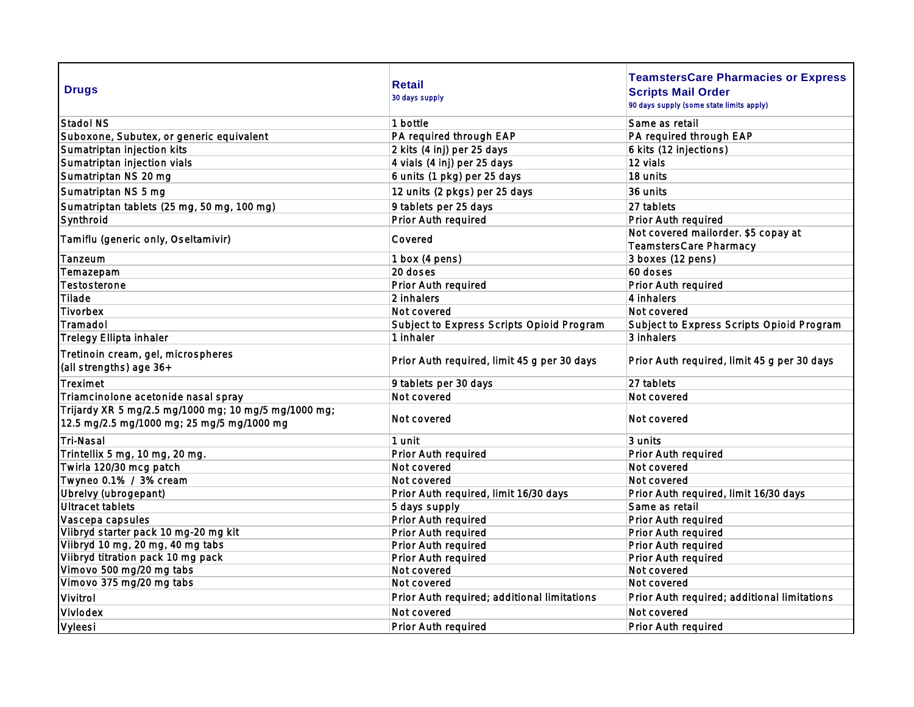| <b>Drugs</b>                                                                                       | <b>Retail</b><br>30 days supply             | <b>TeamstersCare Pharmacies or Express</b><br><b>Scripts Mail Order</b><br>90 days supply (some state limits apply) |
|----------------------------------------------------------------------------------------------------|---------------------------------------------|---------------------------------------------------------------------------------------------------------------------|
| Stadol NS                                                                                          | 1 bottle                                    | Same as retail                                                                                                      |
| Suboxone, Subutex, or generic equivalent                                                           | PA required through EAP                     | PA required through EAP                                                                                             |
| Sumatriptan injection kits                                                                         | 2 kits (4 inj) per 25 days                  | 6 kits (12 injections)                                                                                              |
| Sumatriptan injection vials                                                                        | 4 vials (4 inj) per 25 days                 | 12 vials                                                                                                            |
| Sumatriptan NS 20 mg                                                                               | 6 units (1 pkg) per 25 days                 | 18 units                                                                                                            |
| Sumatriptan NS 5 mg                                                                                | 12 units (2 pkgs) per 25 days               | 36 units                                                                                                            |
| Sumatriptan tablets (25 mg, 50 mg, 100 mg)                                                         | 9 tablets per 25 days                       | 27 tablets                                                                                                          |
| Synthroid                                                                                          | Prior Auth required                         | Prior Auth required                                                                                                 |
| Tamiflu (generic only, Oseltamivir)                                                                | Covered                                     | Not covered mailorder. \$5 copay at<br>TeamstersCare Pharmacy                                                       |
| Tanzeum                                                                                            | 1 box (4 pens)                              | 3 boxes (12 pens)                                                                                                   |
| Temazepam                                                                                          | 20 doses                                    | 60 doses                                                                                                            |
| Testosterone                                                                                       | Prior Auth required                         | Prior Auth required                                                                                                 |
| Tilade                                                                                             | 2 inhalers                                  | 4 inhalers                                                                                                          |
| Tivorbex                                                                                           | Not covered                                 | Not covered                                                                                                         |
| Tramadol                                                                                           | Subject to Express Scripts Opiold Program   | Subject to Express Scripts Opioid Program                                                                           |
| Trelegy Ellipta inhaler                                                                            | 1 inhaler                                   | 3 inhalers                                                                                                          |
| Tretinoin cream, gel, microspheres<br>(all strengths) age 36+                                      | Prior Auth required, limit 45 g per 30 days | Prior Auth required, limit 45 g per 30 days                                                                         |
| Treximet                                                                                           | 9 tablets per 30 days                       | 27 tablets                                                                                                          |
| Triamcinolone acetonide nasal spray                                                                | Not covered                                 | Not covered                                                                                                         |
| Trijardy XR 5 mg/2.5 mg/1000 mg; 10 mg/5 mg/1000 mg;<br>12.5 mg/2.5 mg/1000 mg; 25 mg/5 mg/1000 mg | Not covered                                 | Not covered                                                                                                         |
| Tri-Nasal                                                                                          | 1 unit                                      | 3 units                                                                                                             |
| Trintellix 5 mg, 10 mg, 20 mg.                                                                     | Prior Auth required                         | Prior Auth required                                                                                                 |
| Twirla 120/30 mcg patch                                                                            | Not covered                                 | Not covered                                                                                                         |
| Twyneo 0.1% / 3% cream                                                                             | Not covered                                 | Not covered                                                                                                         |
| Ubrelvy (ubrogepant)                                                                               | Prior Auth required, limit 16/30 days       | Prior Auth required, limit 16/30 days                                                                               |
| Ultracet tablets                                                                                   | 5 days supply                               | Same as retail                                                                                                      |
| Vascepa capsules                                                                                   | Prior Auth required                         | Prior Auth required                                                                                                 |
| Vilbryd starter pack 10 mg-20 mg kit                                                               | Prior Auth required                         | Prior Auth required                                                                                                 |
| Vilbryd 10 mg, 20 mg, 40 mg tabs                                                                   | Prior Auth required                         | Prior Auth required                                                                                                 |
| Vilbryd titration pack 10 mg pack                                                                  | Prior Auth required                         | Prior Auth required                                                                                                 |
| Vimovo 500 mg/20 mg tabs                                                                           | Not covered                                 | Not covered                                                                                                         |
| Vimovo 375 mg/20 mg tabs                                                                           | Not covered                                 | Not covered                                                                                                         |
| Vivitrol                                                                                           | Prior Auth required; additional limitations | Prior Auth required; additional limitations                                                                         |
| Vivlodex                                                                                           | Not covered                                 | Not covered                                                                                                         |
| Vyleesi                                                                                            | Prior Auth required                         | Prior Auth required                                                                                                 |